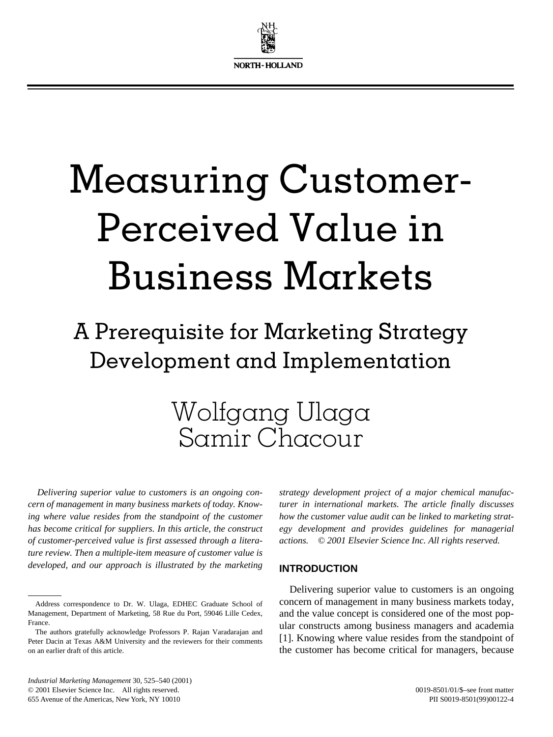

# Measuring Customer-Perceived Value in Business Markets

### A Prerequisite for Marketing Strategy Development and Implementation

### Wolfgang Ulaga Samir Chacour

*Delivering superior value to customers is an ongoing concern of management in many business markets of today. Knowing where value resides from the standpoint of the customer has become critical for suppliers. In this article, the construct of customer-perceived value is first assessed through a literature review. Then a multiple-item measure of customer value is developed, and our approach is illustrated by the marketing*

*strategy development project of a major chemical manufacturer in international markets. The article finally discusses how the customer value audit can be linked to marketing strategy development and provides guidelines for managerial actions. © 2001 Elsevier Science Inc. All rights reserved.*

#### **INTRODUCTION**

Delivering superior value to customers is an ongoing concern of management in many business markets today, and the value concept is considered one of the most popular constructs among business managers and academia [1]. Knowing where value resides from the standpoint of the customer has become critical for managers, because

*Industrial Marketing Management* 30, 525–540 (2001) © 2001 Elsevier Science Inc. All rights reserved. 655 Avenue of the Americas, New York, NY 10010

Address correspondence to Dr. W. Ulaga, EDHEC Graduate School of Management, Department of Marketing, 58 Rue du Port, 59046 Lille Cedex, France.

The authors gratefully acknowledge Professors P. Rajan Varadarajan and Peter Dacin at Texas A&M University and the reviewers for their comments on an earlier draft of this article.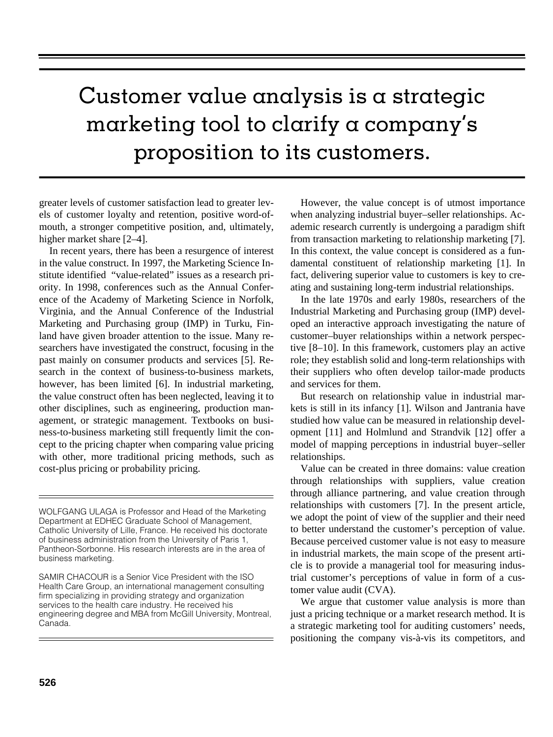## Customer value analysis is a strategic marketing tool to clarify a company's proposition to its customers.

greater levels of customer satisfaction lead to greater levels of customer loyalty and retention, positive word-ofmouth, a stronger competitive position, and, ultimately, higher market share [2–4].

In recent years, there has been a resurgence of interest in the value construct. In 1997, the Marketing Science Institute identified "value-related" issues as a research priority. In 1998, conferences such as the Annual Conference of the Academy of Marketing Science in Norfolk, Virginia, and the Annual Conference of the Industrial Marketing and Purchasing group (IMP) in Turku, Finland have given broader attention to the issue. Many researchers have investigated the construct, focusing in the past mainly on consumer products and services [5]. Research in the context of business-to-business markets, however, has been limited [6]. In industrial marketing, the value construct often has been neglected, leaving it to other disciplines, such as engineering, production management, or strategic management. Textbooks on business-to-business marketing still frequently limit the concept to the pricing chapter when comparing value pricing with other, more traditional pricing methods, such as cost-plus pricing or probability pricing.

WOLFGANG ULAGA is Professor and Head of the Marketing Department at EDHEC Graduate School of Management, Catholic University of Lille, France. He received his doctorate of business administration from the University of Paris 1, Pantheon-Sorbonne. His research interests are in the area of business marketing.

SAMIR CHACOUR is a Senior Vice President with the ISO Health Care Group, an international management consulting firm specializing in providing strategy and organization services to the health care industry. He received his engineering degree and MBA from McGill University, Montreal, Canada.

However, the value concept is of utmost importance when analyzing industrial buyer–seller relationships. Academic research currently is undergoing a paradigm shift from transaction marketing to relationship marketing [7]. In this context, the value concept is considered as a fundamental constituent of relationship marketing [1]. In fact, delivering superior value to customers is key to creating and sustaining long-term industrial relationships.

In the late 1970s and early 1980s, researchers of the Industrial Marketing and Purchasing group (IMP) developed an interactive approach investigating the nature of customer–buyer relationships within a network perspective [8–10]. In this framework, customers play an active role; they establish solid and long-term relationships with their suppliers who often develop tailor-made products and services for them.

But research on relationship value in industrial markets is still in its infancy [1]. Wilson and Jantrania have studied how value can be measured in relationship development [11] and Holmlund and Strandvik [12] offer a model of mapping perceptions in industrial buyer–seller relationships.

Value can be created in three domains: value creation through relationships with suppliers, value creation through alliance partnering, and value creation through relationships with customers [7]. In the present article, we adopt the point of view of the supplier and their need to better understand the customer's perception of value. Because perceived customer value is not easy to measure in industrial markets, the main scope of the present article is to provide a managerial tool for measuring industrial customer's perceptions of value in form of a customer value audit (CVA).

We argue that customer value analysis is more than just a pricing technique or a market research method. It is a strategic marketing tool for auditing customers' needs, positioning the company vis-à-vis its competitors, and